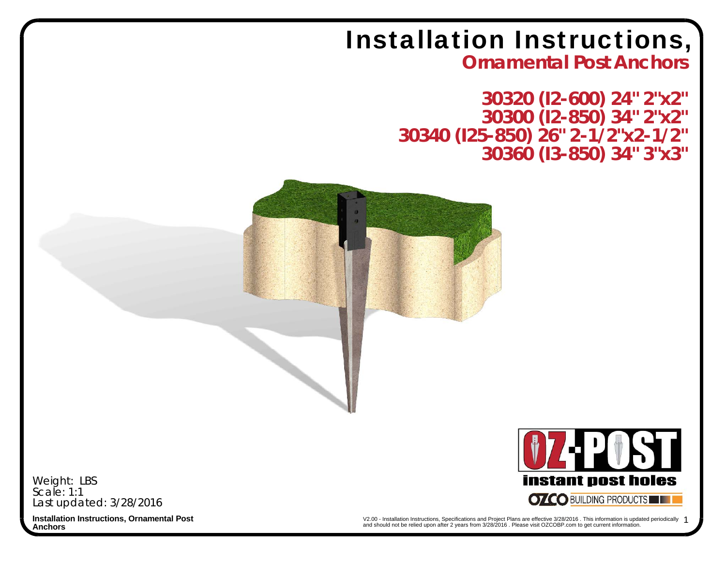## Installation Instructions,

**Ornamental Post Anchors**

**30320 (I2-600) 24" 2"x2" 30300 (I2-850) 34" 2"x2" 30340 (I25-850) 26" 2-1/2"x2-1/2" 30360 (I3-850) 34" 3"x3"**



Last updated: 3/28/2016 Weight: LBS Scale: 1:1

**instant post holes OZCO BUILDING PRODUCTS** 

**Anchors**

**Installation Instructions, Ornamental Post 1993** 1993 **1994 12:00** - Installation Instructions, Specifications and Project Plans are effective 3/28/2016 . This information is updated periodically 1 and should not be relied upon after 2 years from 3/28/2016 . Please visit OZCOBP.com to get current information.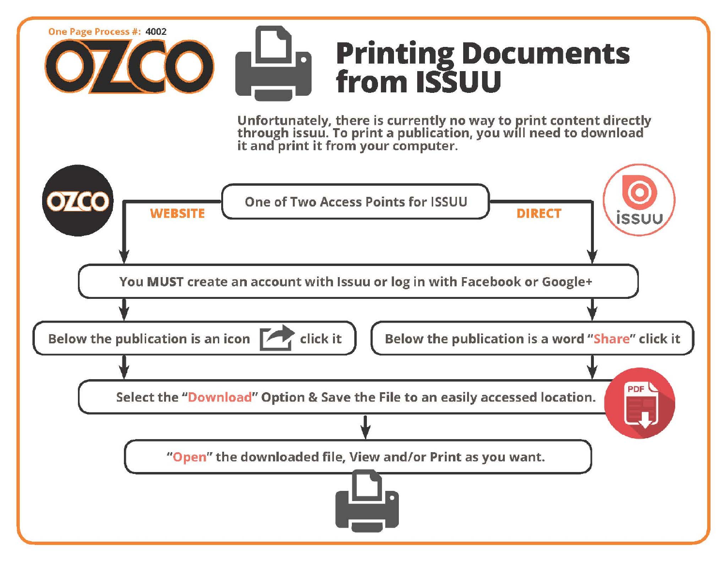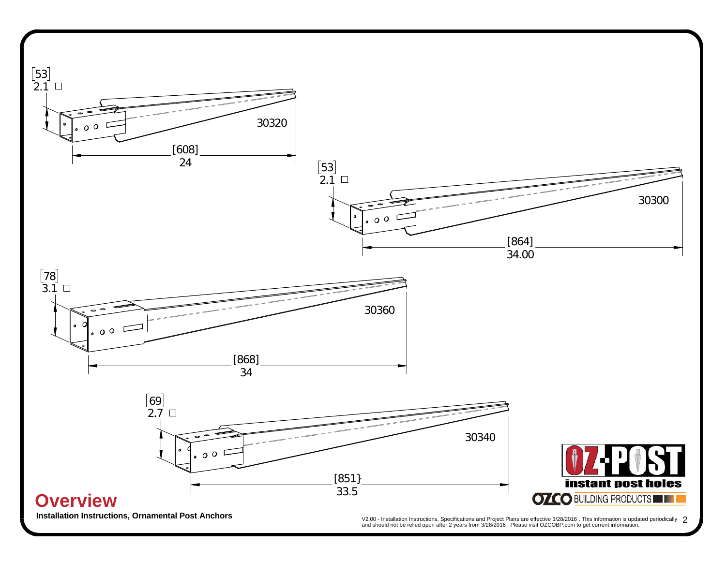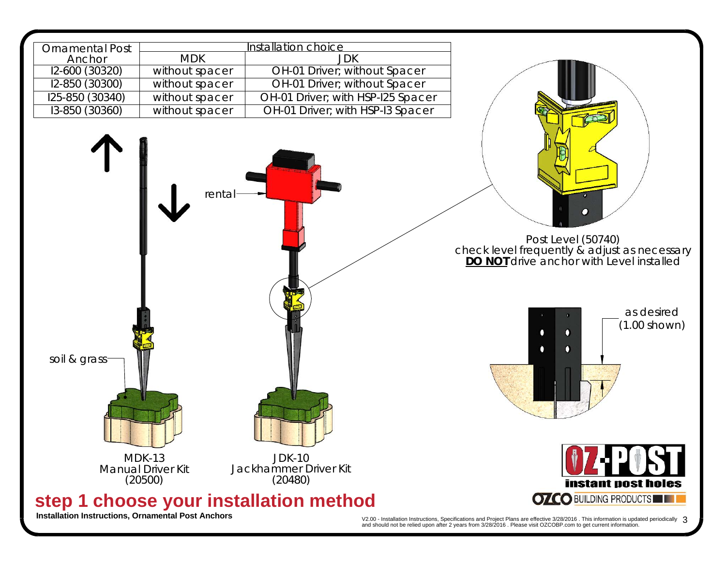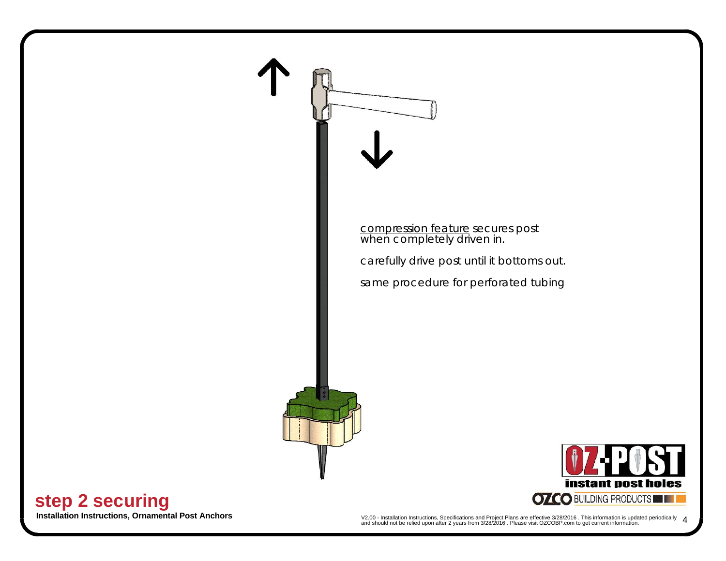

**Installation Instructions, Ornamental Post Anchors**<br>and should not be relied upon after 2 years from 3/28/2016. Please visit OZCOBP.com to get current information. 4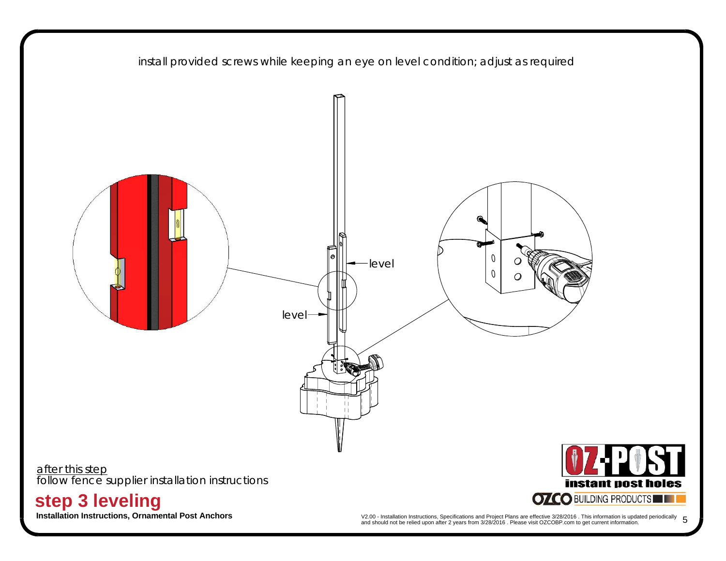

**Installation Instructions, Ornamental Post Anchors**<br>and should not be relied upon after 2 years from 3/28/2016 . Please visit OZCOBP.com to get current information. 5